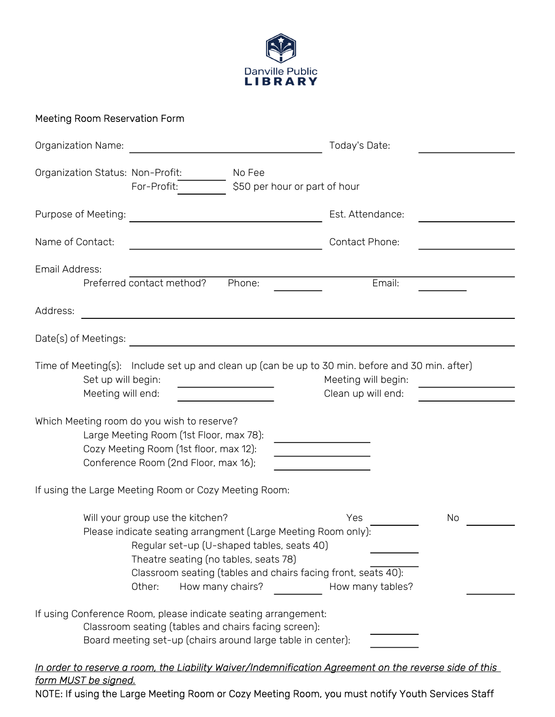

## Meeting Room Reservation Form

| Organization Name:                                                                                                                                                                                                                                                                                                       | Today's Date:                             |  |
|--------------------------------------------------------------------------------------------------------------------------------------------------------------------------------------------------------------------------------------------------------------------------------------------------------------------------|-------------------------------------------|--|
| Organization Status: Non-Profit:<br>No Fee<br>For-Profit:<br>\$50 per hour or part of hour                                                                                                                                                                                                                               |                                           |  |
| Purpose of Meeting:                                                                                                                                                                                                                                                                                                      | Est. Attendance:                          |  |
| Name of Contact:                                                                                                                                                                                                                                                                                                         | Contact Phone:                            |  |
| Email Address:<br>Preferred contact method?<br>Phone:                                                                                                                                                                                                                                                                    | Email:                                    |  |
| Address:                                                                                                                                                                                                                                                                                                                 |                                           |  |
| Date(s) of Meetings:<br><u> 1989 - Johann Johann Stone, meil in der Stone († 1958)</u>                                                                                                                                                                                                                                   |                                           |  |
| Time of Meeting(s): Include set up and clean up (can be up to 30 min. before and 30 min. after)<br>Set up will begin:<br><u> 1990 - John Barn Barn, amerikansk politiker</u><br>Meeting will end:                                                                                                                        | Meeting will begin:<br>Clean up will end: |  |
| Which Meeting room do you wish to reserve?<br>Large Meeting Room (1st Floor, max 78):<br>Cozy Meeting Room (1st floor, max 12):<br>Conference Room (2nd Floor, max 16);                                                                                                                                                  |                                           |  |
| If using the Large Meeting Room or Cozy Meeting Room:                                                                                                                                                                                                                                                                    |                                           |  |
| Will your group use the kitchen?<br>Yes<br>No<br>Please indicate seating arrangment (Large Meeting Room only):<br>Regular set-up (U-shaped tables, seats 40)<br>Theatre seating (no tables, seats 78)<br>Classroom seating (tables and chairs facing front, seats 40):<br>Other:<br>How many chairs?<br>How many tables? |                                           |  |
| If using Conference Room, please indicate seating arrangement:<br>Classroom seating (tables and chairs facing screen):<br>Board meeting set-up (chairs around large table in center):<br>In order to reserve a room, the Liability Waiver/Indemnification Agreement on the reverse side of this                          |                                           |  |
| form MUST be signed.                                                                                                                                                                                                                                                                                                     |                                           |  |

NOTE: If using the Large Meeting Room or Cozy Meeting Room, you must notify Youth Services Staff